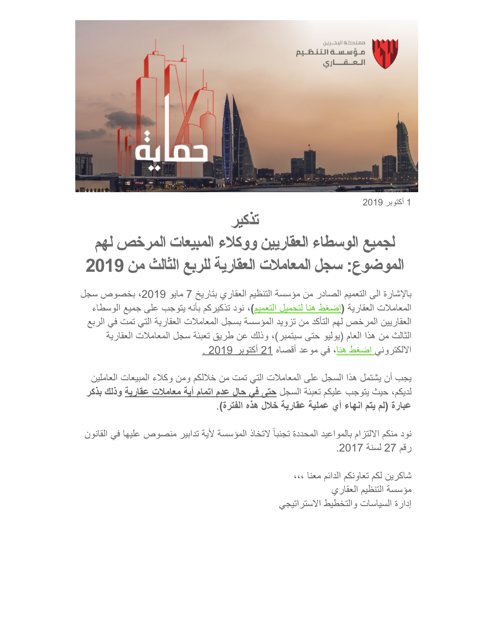

1 أكتوبر 2019

**تذكیر**

## **لجمیع الوسطاء العقاریین ووكلاء المبیعات المرخص لھم الموضوع: سجل المعاملات العقاریة للربع الثالث من 2019**

بالإشارة الى التعمیم الصادر من مؤسسة التنظیم العقاري بتاریخ 7 مایو ،2019 بخصوص سجل المعاملات العقاریة **(**[إضغط ھنا لتحمیل التعمیم](https://www.rera.gov.bh/Media/downloads/Circulars/Transactions%20Record%20Circular%2007042019.pdf)**)،** نود تذكیركم بأنھ یتوجب على جمیع الوسطاء العقاریین المرخص لھم التأكد من تزوید المؤسسة بسجل المعاملات العقاریة التي تمت في الربع الثالث من ھذا العام (یولیو حتى سبتمبر)، وذلك عن طریق تعبئة سجل المعاملات العقاریة الالكترون[ي إضغط ھنا](https://rera.us18.list-manage.com/track/click?u=19ee4dd5d83746dcf3a98ff0f&id=f8800e7387&e=6652aa188d)، في موعد أقصاه 21 أكتوبر 2019 .

یجب أن یشتمل ھذا السجل على المعاملات التي تمت من خلالكم ومن وكلاء المبیعات العاملین لدیكم، حیث یتوجب علیكم تعبئة السجل **حتى في حال عدم اتمام أیة معاملات عقاریة وذلك بذكر عبارة (لم یتم انھاء أي عملیة عقاریة خلال ھذه الفترة)**.

نود منكم الالتزام بالمواعید المحددة تجنباً لاتخاذ المؤسسة لأیة تدابیر منصوص علیھا في القانون رقم 27 لسنة .2017

> شاكرین لكم تعاونكم الدائم معنا ،،، مؤسسة التنظیم العقاري إدارة السیاسات والتخطیط الاستراتیجي